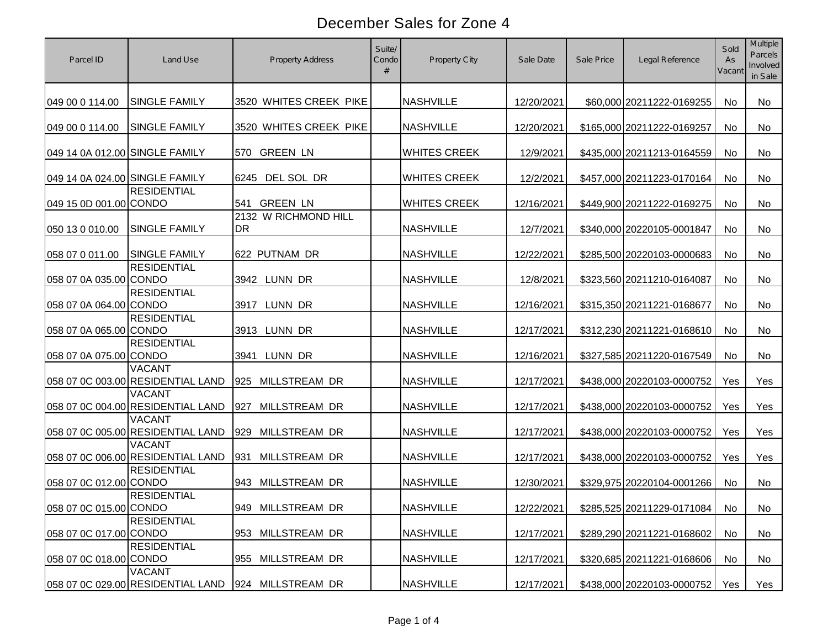| Parcel ID                      | Land Use                                           | <b>Property Address</b>           | Suite/<br>Condo<br># | <b>Property City</b> | Sale Date  | Sale Price | Legal Reference            | Sold<br>As<br>Vacant | Multiple<br>Parcels<br>Involved<br>in Sale |
|--------------------------------|----------------------------------------------------|-----------------------------------|----------------------|----------------------|------------|------------|----------------------------|----------------------|--------------------------------------------|
| 049 00 0 114.00                | <b>SINGLE FAMILY</b>                               | 3520 WHITES CREEK PIKE            |                      | <b>NASHVILLE</b>     | 12/20/2021 |            | \$60,000 20211222-0169255  | No                   | No                                         |
| 049 00 0 114.00                | <b>SINGLE FAMILY</b>                               | 3520 WHITES CREEK PIKE            |                      | <b>NASHVILLE</b>     | 12/20/2021 |            | \$165,000 20211222-0169257 | <b>No</b>            | No                                         |
| 049 14 0A 012.00 SINGLE FAMILY |                                                    | 570 GREEN LN                      |                      | <b>WHITES CREEK</b>  | 12/9/2021  |            | \$435,000 20211213-0164559 | No                   | No                                         |
| 049 14 0A 024.00 SINGLE FAMILY |                                                    | 6245 DEL SOL DR                   |                      | <b>WHITES CREEK</b>  | 12/2/2021  |            | \$457,000 20211223-0170164 | No                   | No                                         |
| 049 15 0D 001.00 CONDO         | <b>RESIDENTIAL</b>                                 | <b>GREEN LN</b><br>541            |                      | <b>WHITES CREEK</b>  | 12/16/2021 |            | \$449,900 20211222-0169275 | No                   | No                                         |
| 050 13 0 010.00                | <b>SINGLE FAMILY</b>                               | 2132 W RICHMOND HILL<br><b>DR</b> |                      | <b>NASHVILLE</b>     | 12/7/2021  |            | \$340,000 20220105-0001847 | No                   | No                                         |
| 058 07 0 011.00                | <b>SINGLE FAMILY</b>                               | 622 PUTNAM DR                     |                      | <b>NASHVILLE</b>     | 12/22/2021 |            | \$285,500 20220103-0000683 | No                   | No                                         |
| 058 07 0A 035.00 CONDO         | <b>RESIDENTIAL</b>                                 | 3942 LUNN DR                      |                      | <b>NASHVILLE</b>     | 12/8/2021  |            | \$323,560 20211210-0164087 | No                   | No                                         |
| 058 07 0A 064.00 CONDO         | <b>RESIDENTIAL</b>                                 | LUNN DR<br>3917                   |                      | <b>NASHVILLE</b>     | 12/16/2021 |            | \$315,350 20211221-0168677 | No                   | No                                         |
| 058 07 0A 065.00 CONDO         | <b>RESIDENTIAL</b>                                 | 3913 LUNN DR                      |                      | <b>NASHVILLE</b>     | 12/17/2021 |            | \$312,230 20211221-0168610 | No                   | No                                         |
| 058 07 0A 075.00 CONDO         | <b>RESIDENTIAL</b>                                 | LUNN DR<br>3941                   |                      | <b>NASHVILLE</b>     | 12/16/2021 |            | \$327,585 20211220-0167549 | <b>No</b>            | <b>No</b>                                  |
|                                | <b>VACANT</b><br>058 07 0C 003.00 RESIDENTIAL LAND | 925 MILLSTREAM DR                 |                      | <b>NASHVILLE</b>     | 12/17/2021 |            | \$438,000 20220103-0000752 | Yes                  | Yes                                        |
|                                | <b>VACANT</b><br>058 07 0C 004.00 RESIDENTIAL LAND | MILLSTREAM DR<br>927              |                      | <b>NASHVILLE</b>     | 12/17/2021 |            | \$438,000 20220103-0000752 | Yes                  | Yes                                        |
|                                | <b>VACANT</b><br>058 07 0C 005.00 RESIDENTIAL LAND | 929<br>MILLSTREAM DR              |                      | <b>NASHVILLE</b>     | 12/17/2021 |            | \$438,000 20220103-0000752 | Yes                  | Yes                                        |
|                                | <b>VACANT</b><br>058 07 0C 006.00 RESIDENTIAL LAND | MILLSTREAM DR<br>931              |                      | <b>NASHVILLE</b>     | 12/17/2021 |            | \$438,000 20220103-0000752 | Yes                  | Yes                                        |
| 058 07 0C 012.00 CONDO         | <b>RESIDENTIAL</b>                                 | 943 MILLSTREAM DR                 |                      | <b>NASHVILLE</b>     | 12/30/2021 |            | \$329,975 20220104-0001266 | <b>No</b>            | No                                         |
| 058 07 0C 015.00 CONDO         | <b>RESIDENTIAL</b>                                 | 949 MILLSTREAM DR                 |                      | <b>NASHVILLE</b>     | 12/22/2021 |            | \$285,525 20211229-0171084 | No                   | No                                         |
| 058 07 0C 017.00 CONDO         | <b>RESIDENTIAL</b>                                 | 953 MILLSTREAM DR                 |                      | <b>NASHVILLE</b>     | 12/17/2021 |            | \$289,290 20211221-0168602 | No                   | No                                         |
| 058 07 0C 018.00 CONDO         | <b>RESIDENTIAL</b>                                 | 955 MILLSTREAM DR                 |                      | <b>NASHVILLE</b>     | 12/17/2021 |            | \$320,685 20211221-0168606 | No                   | No                                         |
|                                | <b>VACANT</b><br>058 07 0C 029.00 RESIDENTIAL LAND | 924 MILLSTREAM DR                 |                      | <b>NASHVILLE</b>     | 12/17/2021 |            | \$438,000 20220103-0000752 | Yes                  | Yes                                        |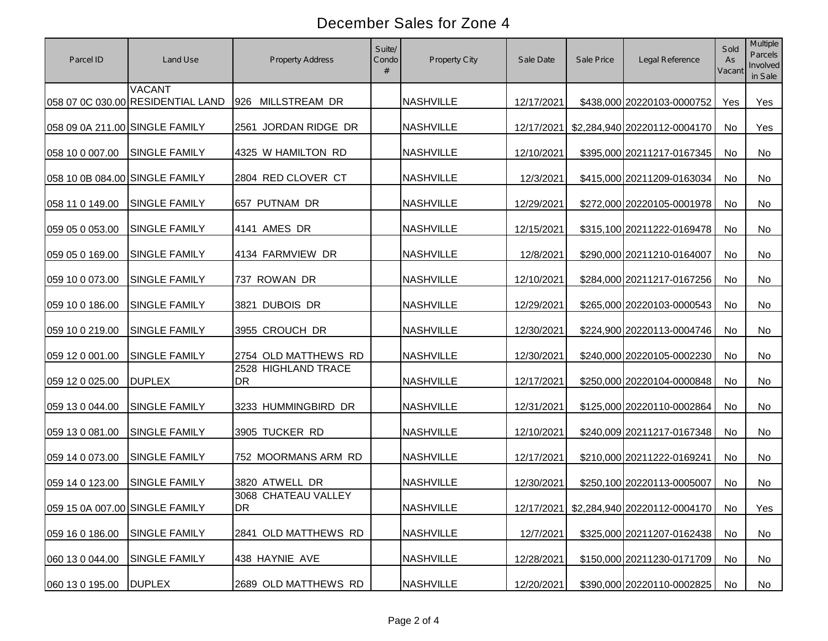| Parcel ID                      | Land Use                                           | Property Address                 | Suite/<br>Condo<br># | Property City    | Sale Date  | Sale Price | Legal Reference                         | Sold<br>As<br>Vacant | Multiple<br>Parcels<br>Involved<br>in Sale |
|--------------------------------|----------------------------------------------------|----------------------------------|----------------------|------------------|------------|------------|-----------------------------------------|----------------------|--------------------------------------------|
|                                | <b>VACANT</b><br>058 07 0C 030.00 RESIDENTIAL LAND | 926 MILLSTREAM DR                |                      | <b>NASHVILLE</b> | 12/17/2021 |            | \$438,000 20220103-0000752              | Yes                  | Yes                                        |
| 058 09 0A 211.00 SINGLE FAMILY |                                                    | 2561 JORDAN RIDGE DR             |                      | <b>NASHVILLE</b> | 12/17/2021 |            | \$2,284,940 20220112-0004170            | <b>No</b>            | Yes                                        |
| 058 10 0 007.00                | <b>SINGLE FAMILY</b>                               | 4325 W HAMILTON RD               |                      | <b>NASHVILLE</b> | 12/10/2021 |            | \$395,000 20211217-0167345              | No                   | No                                         |
| 058 10 0B 084.00 SINGLE FAMILY |                                                    | 2804 RED CLOVER CT               |                      | <b>NASHVILLE</b> | 12/3/2021  |            | \$415,000 20211209-0163034              | No                   | No                                         |
| 058 11 0 149.00                | <b>SINGLE FAMILY</b>                               | 657 PUTNAM DR                    |                      | <b>NASHVILLE</b> | 12/29/2021 |            | \$272,000 20220105-0001978              | <b>No</b>            | No                                         |
| 059 05 0 053.00                | <b>SINGLE FAMILY</b>                               | 4141 AMES DR                     |                      | <b>NASHVILLE</b> | 12/15/2021 |            | \$315,100 20211222-0169478              | <b>No</b>            | No                                         |
| 059 05 0 169.00                | <b>SINGLE FAMILY</b>                               | 4134 FARMVIEW DR                 |                      | <b>NASHVILLE</b> | 12/8/2021  |            | \$290,000 20211210-0164007              | No                   | No                                         |
| 059 10 0 073.00                | <b>SINGLE FAMILY</b>                               | 737 ROWAN DR                     |                      | <b>NASHVILLE</b> | 12/10/2021 |            | \$284,000 20211217-0167256              | <b>No</b>            | <b>No</b>                                  |
| 059 10 0 186.00                | <b>SINGLE FAMILY</b>                               | 3821 DUBOIS DR                   |                      | <b>NASHVILLE</b> | 12/29/2021 |            | \$265,000 20220103-0000543              | No                   | No                                         |
| 059 10 0 219.00                | <b>SINGLE FAMILY</b>                               | 3955 CROUCH DR                   |                      | <b>NASHVILLE</b> | 12/30/2021 |            | \$224,900 20220113-0004746              | <b>No</b>            | No                                         |
| 059 12 0 001.00                | <b>SINGLE FAMILY</b>                               | 2754 OLD MATTHEWS RD             |                      | <b>NASHVILLE</b> | 12/30/2021 |            | \$240,000 20220105-0002230              | <b>No</b>            | <b>No</b>                                  |
| 059 12 0 025.00                | <b>DUPLEX</b>                                      | 2528 HIGHLAND TRACE<br><b>DR</b> |                      | <b>NASHVILLE</b> | 12/17/2021 |            | \$250,000 20220104-0000848              | <b>No</b>            | <b>No</b>                                  |
| 059 13 0 044.00                | <b>SINGLE FAMILY</b>                               | 3233 HUMMINGBIRD DR              |                      | <b>NASHVILLE</b> | 12/31/2021 |            | \$125,000 20220110-0002864              | <b>No</b>            | <b>No</b>                                  |
| 059 13 0 081.00                | <b>SINGLE FAMILY</b>                               | 3905 TUCKER RD                   |                      | <b>NASHVILLE</b> | 12/10/2021 |            | \$240,009 20211217-0167348              | <b>No</b>            | <b>No</b>                                  |
| 059 14 0 073.00                | <b>SINGLE FAMILY</b>                               | 752 MOORMANS ARM RD              |                      | <b>NASHVILLE</b> | 12/17/2021 |            | \$210,000 20211222-0169241              | <b>No</b>            | No                                         |
| 059 14 0 123.00                | <b>SINGLE FAMILY</b>                               | 3820 ATWELL DR                   |                      | <b>NASHVILLE</b> | 12/30/2021 |            | \$250,100 20220113-0005007              | <b>No</b>            | No                                         |
| 059 15 0A 007.00 SINGLE FAMILY |                                                    | 3068 CHATEAU VALLEY<br>DR        |                      | <b>NASHVILLE</b> |            |            | 12/17/2021 \$2,284,940 20220112-0004170 | No                   | Yes                                        |
| 059 16 0 186.00                | <b>SINGLE FAMILY</b>                               | 2841 OLD MATTHEWS RD             |                      | <b>NASHVILLE</b> | 12/7/2021  |            | \$325,000 20211207-0162438              | No                   | No                                         |
| 060 13 0 044.00                | <b>SINGLE FAMILY</b>                               | 438 HAYNIE AVE                   |                      | <b>NASHVILLE</b> | 12/28/2021 |            | \$150,000 20211230-0171709              | No                   | No                                         |
| 060 13 0 195.00                | <b>DUPLEX</b>                                      | 2689 OLD MATTHEWS RD             |                      | <b>NASHVILLE</b> | 12/20/2021 |            | \$390,000 20220110-0002825              | No                   | No                                         |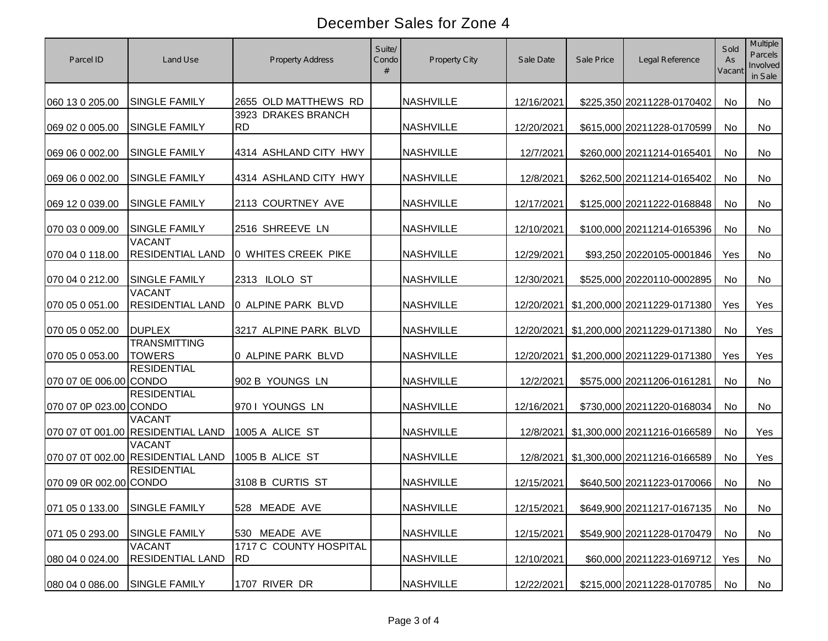| Parcel ID                     | Land Use                                           | <b>Property Address</b>         | Suite/<br>Condo<br># | Property City    | Sale Date  | Sale Price | Legal Reference                         | Sold<br>As<br>Vacant | <b>Multiple</b><br>Parcels<br>Involved<br>in Sale |
|-------------------------------|----------------------------------------------------|---------------------------------|----------------------|------------------|------------|------------|-----------------------------------------|----------------------|---------------------------------------------------|
| 060 13 0 205.00               | <b>SINGLE FAMILY</b>                               | 2655 OLD MATTHEWS RD            |                      | <b>NASHVILLE</b> | 12/16/2021 |            | \$225,350 20211228-0170402              | <b>No</b>            | <b>No</b>                                         |
| 069 02 0 005.00               | <b>SINGLE FAMILY</b>                               | 3923 DRAKES BRANCH<br><b>RD</b> |                      | <b>NASHVILLE</b> | 12/20/2021 |            | \$615,000 20211228-0170599              | No                   | No                                                |
| 069 06 0 002.00               | <b>SINGLE FAMILY</b>                               | 4314 ASHLAND CITY HWY           |                      | <b>NASHVILLE</b> | 12/7/2021  |            | \$260,000 20211214-0165401              | No                   | No                                                |
| 069 06 0 002.00               | <b>SINGLE FAMILY</b>                               | 4314 ASHLAND CITY HWY           |                      | <b>NASHVILLE</b> | 12/8/2021  |            | \$262,500 20211214-0165402              | No                   | No                                                |
| 069 12 0 039.00               | <b>SINGLE FAMILY</b>                               | 2113 COURTNEY AVE               |                      | <b>NASHVILLE</b> | 12/17/2021 |            | \$125,000 20211222-0168848              | No                   | No                                                |
| 070 03 0 009.00               | <b>SINGLE FAMILY</b>                               | 2516 SHREEVE LN                 |                      | <b>NASHVILLE</b> | 12/10/2021 |            | \$100,000 20211214-0165396              | No                   | No                                                |
| 070 04 0 118.00               | <b>VACANT</b><br><b>RESIDENTIAL LAND</b>           | 0 WHITES CREEK PIKE             |                      | <b>NASHVILLE</b> | 12/29/2021 |            | \$93,250 20220105-0001846               | Yes                  | No                                                |
| 070 04 0 212.00               | <b>SINGLE FAMILY</b>                               | 2313 ILOLO ST                   |                      | <b>NASHVILLE</b> | 12/30/2021 |            | \$525,000 20220110-0002895              | No                   | No                                                |
| 070 05 0 051.00               | <b>VACANT</b><br><b>RESIDENTIAL LAND</b>           | 0 ALPINE PARK BLVD              |                      | <b>NASHVILLE</b> | 12/20/2021 |            | \$1,200,000 20211229-0171380            | Yes                  | Yes                                               |
| 070 05 0 052.00               | <b>DUPLEX</b>                                      | 3217 ALPINE PARK BLVD           |                      | <b>NASHVILLE</b> |            |            | 12/20/2021 \$1,200,000 20211229-0171380 | No                   | Yes                                               |
| 070 05 0 053.00               | <b>TRANSMITTING</b><br><b>TOWERS</b>               | 0 ALPINE PARK BLVD              |                      | <b>NASHVILLE</b> | 12/20/2021 |            | \$1,200,000 20211229-0171380            | Yes                  | Yes                                               |
| 070 07 0E 006.00 CONDO        | <b>RESIDENTIAL</b>                                 | 902 B YOUNGS LN                 |                      | <b>NASHVILLE</b> | 12/2/2021  |            | \$575,000 20211206-0161281              | No                   | No                                                |
| 070 07 0P 023.00 CONDO        | <b>RESIDENTIAL</b>                                 | 970 I YOUNGS LN                 |                      | <b>NASHVILLE</b> | 12/16/2021 |            | \$730,000 20211220-0168034              | No                   | No                                                |
|                               | <b>VACANT</b><br>070 07 0T 001.00 RESIDENTIAL LAND | 1005 A ALICE ST                 |                      | <b>NASHVILLE</b> | 12/8/2021  |            | \$1,300,000 20211216-0166589            | <b>No</b>            | Yes                                               |
|                               | <b>VACANT</b><br>070 07 0T 002.00 RESIDENTIAL LAND | 1005 B ALICE ST                 |                      | <b>NASHVILLE</b> | 12/8/2021  |            | \$1,300,000 20211216-0166589            | <b>No</b>            | Yes                                               |
| 070 09 0R 002.00 CONDO        | <b>RESIDENTIAL</b>                                 | 3108 B CURTIS ST                |                      | <b>NASHVILLE</b> | 12/15/2021 |            | \$640,500 20211223-0170066              | <b>No</b>            | No                                                |
| 071 05 0 133.00 SINGLE FAMILY |                                                    | 528 MEADE AVE                   |                      | <b>NASHVILLE</b> | 12/15/2021 |            | \$649,900 20211217-0167135              | No                   | No                                                |
| 071 05 0 293.00               | <b>SINGLE FAMILY</b>                               | 530 MEADE AVE                   |                      | <b>NASHVILLE</b> | 12/15/2021 |            | \$549,900 20211228-0170479              | No                   | No                                                |
| 080 04 0 024.00               | <b>VACANT</b><br><b>RESIDENTIAL LAND</b>           | 1717 C COUNTY HOSPITAL<br>IRD.  |                      | <b>NASHVILLE</b> | 12/10/2021 |            | \$60,000 20211223-0169712               | Yes                  | No                                                |
| 080 04 0 086.00               | <b>SINGLE FAMILY</b>                               | 1707 RIVER DR                   |                      | <b>NASHVILLE</b> | 12/22/2021 |            | \$215,000 20211228-0170785              | No                   | No                                                |